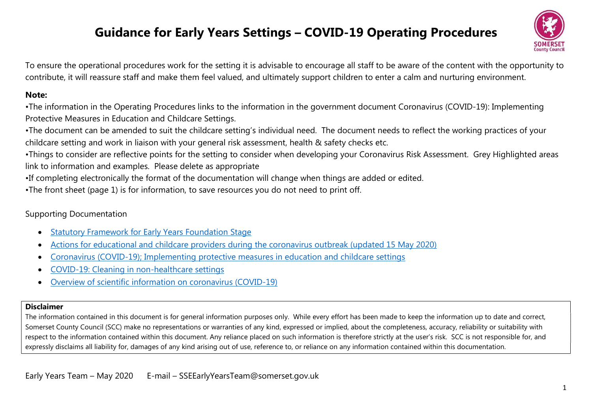# Guidance for Early Years Settings – COVID-19 Operating Procedures



To ensure the operational procedures work for the setting it is advisable to encourage all staff to be aware of the content with the opportunity to contribute, it will reassure staff and make them feel valued, and ultimately support children to enter a calm and nurturing environment.

#### Note:

•The information in the Operating Procedures links to the information in the government document Coronavirus (COVID-19): Implementing Protective Measures in Education and Childcare Settings.

•The document can be amended to suit the childcare setting's individual need. The document needs to reflect the working practices of your childcare setting and work in liaison with your general risk assessment, health & safety checks etc.

•Things to consider are reflective points for the setting to consider when developing your Coronavirus Risk Assessment. Grey Highlighted areas link to information and examples. Please delete as appropriate

•If completing electronically the format of the documentation will change when things are added or edited.

•The front sheet (page 1) is for information, to save resources you do not need to print off.

### Supporting Documentation

- Statutory Framework for Early Years Foundation Stage
- Actions for educational and childcare providers during the coronavirus outbreak (updated 15 May 2020)
- Coronavirus (COVID-19); Implementing protective measures in education and childcare settings
- COVID-19: Cleaning in non-healthcare settings
- Overview of scientific information on coronavirus (COVID-19)

#### Disclaimer

The information contained in this document is for general information purposes only. While every effort has been made to keep the information up to date and correct, Somerset County Council (SCC) make no representations or warranties of any kind, expressed or implied, about the completeness, accuracy, reliability or suitability with respect to the information contained within this document. Any reliance placed on such information is therefore strictly at the user's risk. SCC is not responsible for, and expressly disclaims all liability for, damages of any kind arising out of use, reference to, or reliance on any information contained within this documentation.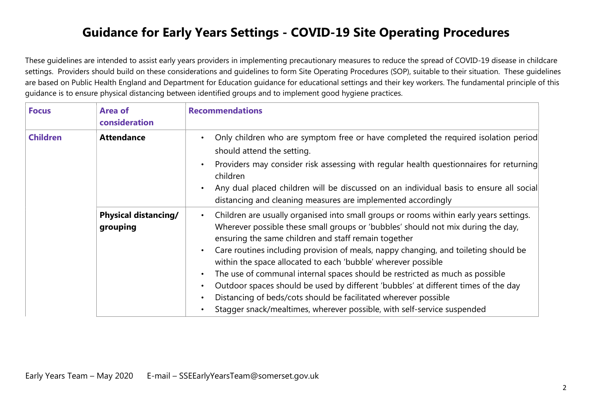## Guidance for Early Years Settings - COVID-19 Site Operating Procedures

These guidelines are intended to assist early years providers in implementing precautionary measures to reduce the spread of COVID-19 disease in childcare settings. Providers should build on these considerations and guidelines to form Site Operating Procedures (SOP), suitable to their situation. These guidelines are based on Public Health England and Department for Education guidance for educational settings and their key workers. The fundamental principle of this guidance is to ensure physical distancing between identified groups and to implement good hygiene practices.

| <b>Focus</b>    | <b>Area of</b><br>consideration         | <b>Recommendations</b>                                                                                                                                                                                                                                                                                                                                                                                                                                                                                                                                                                                                                                                                                                                   |
|-----------------|-----------------------------------------|------------------------------------------------------------------------------------------------------------------------------------------------------------------------------------------------------------------------------------------------------------------------------------------------------------------------------------------------------------------------------------------------------------------------------------------------------------------------------------------------------------------------------------------------------------------------------------------------------------------------------------------------------------------------------------------------------------------------------------------|
| <b>Children</b> | <b>Attendance</b>                       | Only children who are symptom free or have completed the required isolation period<br>should attend the setting.<br>Providers may consider risk assessing with regular health questionnaires for returning<br>$\bullet$<br>children<br>Any dual placed children will be discussed on an individual basis to ensure all social<br>distancing and cleaning measures are implemented accordingly                                                                                                                                                                                                                                                                                                                                            |
|                 | <b>Physical distancing/</b><br>grouping | Children are usually organised into small groups or rooms within early years settings.<br>Wherever possible these small groups or 'bubbles' should not mix during the day,<br>ensuring the same children and staff remain together<br>Care routines including provision of meals, nappy changing, and toileting should be<br>$\bullet$<br>within the space allocated to each 'bubble' wherever possible<br>The use of communal internal spaces should be restricted as much as possible<br>Outdoor spaces should be used by different 'bubbles' at different times of the day<br>Distancing of beds/cots should be facilitated wherever possible<br>$\bullet$<br>Stagger snack/mealtimes, wherever possible, with self-service suspended |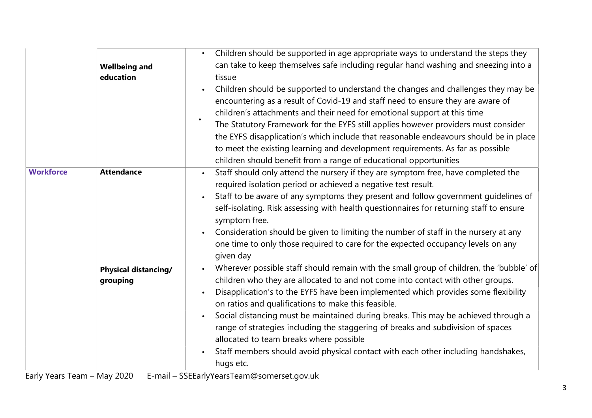|                                             | <b>Wellbeing and</b><br>education       | Children should be supported in age appropriate ways to understand the steps they<br>can take to keep themselves safe including regular hand washing and sneezing into a<br>tissue<br>Children should be supported to understand the changes and challenges they may be<br>encountering as a result of Covid-19 and staff need to ensure they are aware of<br>children's attachments and their need for emotional support at this time<br>$\bullet$<br>The Statutory Framework for the EYFS still applies however providers must consider<br>the EYFS disapplication's which include that reasonable endeavours should be in place<br>to meet the existing learning and development requirements. As far as possible<br>children should benefit from a range of educational opportunities |
|---------------------------------------------|-----------------------------------------|-------------------------------------------------------------------------------------------------------------------------------------------------------------------------------------------------------------------------------------------------------------------------------------------------------------------------------------------------------------------------------------------------------------------------------------------------------------------------------------------------------------------------------------------------------------------------------------------------------------------------------------------------------------------------------------------------------------------------------------------------------------------------------------------|
| <b>Workforce</b><br>$Link Van Tom Man 2020$ | <b>Attendance</b>                       | Staff should only attend the nursery if they are symptom free, have completed the<br>required isolation period or achieved a negative test result.<br>Staff to be aware of any symptoms they present and follow government guidelines of<br>self-isolating. Risk assessing with health questionnaires for returning staff to ensure<br>symptom free.<br>Consideration should be given to limiting the number of staff in the nursery at any<br>one time to only those required to care for the expected occupancy levels on any<br>given day                                                                                                                                                                                                                                              |
|                                             | <b>Physical distancing/</b><br>grouping | Wherever possible staff should remain with the small group of children, the 'bubble' of<br>$\bullet$<br>children who they are allocated to and not come into contact with other groups.<br>Disapplication's to the EYFS have been implemented which provides some flexibility<br>on ratios and qualifications to make this feasible.<br>Social distancing must be maintained during breaks. This may be achieved through a<br>range of strategies including the staggering of breaks and subdivision of spaces<br>allocated to team breaks where possible<br>Staff members should avoid physical contact with each other including handshakes,<br>hugs etc.<br>$E$ mail $CCEL_2$ where $T_{02}$ m $Q$ compress governizing                                                                |

Early Years Team – May 2020 E-mail – SSEEarlyYearsTeam@somerset.gov.uk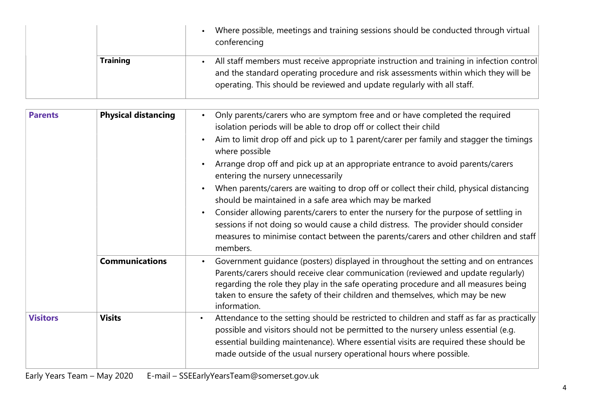|                 | Where possible, meetings and training sessions should be conducted through virtual<br>conferencing                                                                                                                                                         |
|-----------------|------------------------------------------------------------------------------------------------------------------------------------------------------------------------------------------------------------------------------------------------------------|
| <b>Training</b> | All staff members must receive appropriate instruction and training in infection control<br>and the standard operating procedure and risk assessments within which they will be<br>operating. This should be reviewed and update regularly with all staff. |

| <b>Parents</b>  | <b>Physical distancing</b> | Only parents/carers who are symptom free and or have completed the required<br>isolation periods will be able to drop off or collect their child<br>Aim to limit drop off and pick up to 1 parent/carer per family and stagger the timings<br>where possible<br>Arrange drop off and pick up at an appropriate entrance to avoid parents/carers<br>entering the nursery unnecessarily<br>When parents/carers are waiting to drop off or collect their child, physical distancing<br>should be maintained in a safe area which may be marked<br>Consider allowing parents/carers to enter the nursery for the purpose of settling in<br>sessions if not doing so would cause a child distress. The provider should consider<br>measures to minimise contact between the parents/carers and other children and staff<br>members. |
|-----------------|----------------------------|--------------------------------------------------------------------------------------------------------------------------------------------------------------------------------------------------------------------------------------------------------------------------------------------------------------------------------------------------------------------------------------------------------------------------------------------------------------------------------------------------------------------------------------------------------------------------------------------------------------------------------------------------------------------------------------------------------------------------------------------------------------------------------------------------------------------------------|
|                 | <b>Communications</b>      | Government guidance (posters) displayed in throughout the setting and on entrances<br>Parents/carers should receive clear communication (reviewed and update regularly)<br>regarding the role they play in the safe operating procedure and all measures being<br>taken to ensure the safety of their children and themselves, which may be new<br>information.                                                                                                                                                                                                                                                                                                                                                                                                                                                                |
| <b>Visitors</b> | <b>Visits</b>              | Attendance to the setting should be restricted to children and staff as far as practically<br>$\bullet$<br>possible and visitors should not be permitted to the nursery unless essential (e.g.<br>essential building maintenance). Where essential visits are required these should be<br>made outside of the usual nursery operational hours where possible.                                                                                                                                                                                                                                                                                                                                                                                                                                                                  |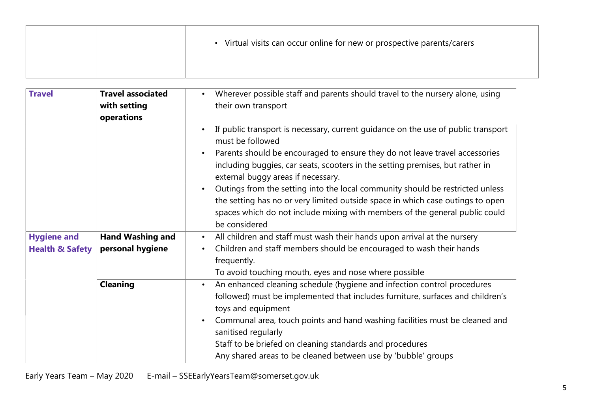|  | Virtual visits can occur online for new or prospective parents/carers |
|--|-----------------------------------------------------------------------|
|  |                                                                       |

| <b>Travel</b>              | <b>Travel associated</b><br>with setting<br>operations | Wherever possible staff and parents should travel to the nursery alone, using<br>$\bullet$<br>their own transport                                                                                                                                               |
|----------------------------|--------------------------------------------------------|-----------------------------------------------------------------------------------------------------------------------------------------------------------------------------------------------------------------------------------------------------------------|
|                            |                                                        | If public transport is necessary, current guidance on the use of public transport<br>must be followed                                                                                                                                                           |
|                            |                                                        | Parents should be encouraged to ensure they do not leave travel accessories<br>including buggies, car seats, scooters in the setting premises, but rather in<br>external buggy areas if necessary.                                                              |
|                            |                                                        | Outings from the setting into the local community should be restricted unless<br>the setting has no or very limited outside space in which case outings to open<br>spaces which do not include mixing with members of the general public could<br>be considered |
| <b>Hygiene and</b>         | <b>Hand Washing and</b>                                | All children and staff must wash their hands upon arrival at the nursery<br>$\bullet$                                                                                                                                                                           |
| <b>Health &amp; Safety</b> | personal hygiene                                       | Children and staff members should be encouraged to wash their hands<br>frequently.                                                                                                                                                                              |
|                            |                                                        | To avoid touching mouth, eyes and nose where possible                                                                                                                                                                                                           |
|                            | <b>Cleaning</b>                                        | An enhanced cleaning schedule (hygiene and infection control procedures<br>$\bullet$<br>followed) must be implemented that includes furniture, surfaces and children's<br>toys and equipment                                                                    |
|                            |                                                        | Communal area, touch points and hand washing facilities must be cleaned and<br>sanitised regularly                                                                                                                                                              |
|                            |                                                        | Staff to be briefed on cleaning standards and procedures                                                                                                                                                                                                        |
|                            |                                                        | Any shared areas to be cleaned between use by 'bubble' groups                                                                                                                                                                                                   |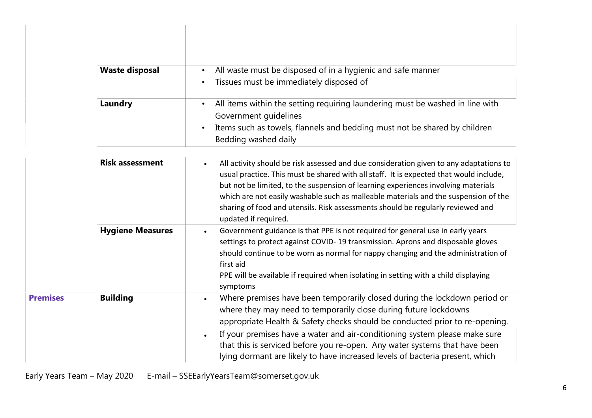| <b>Waste disposal</b> | All waste must be disposed of in a hygienic and safe manner                   |
|-----------------------|-------------------------------------------------------------------------------|
|                       | Tissues must be immediately disposed of                                       |
| Laundry               | All items within the setting requiring laundering must be washed in line with |
|                       | Government guidelines                                                         |
|                       | Items such as towels, flannels and bedding must not be shared by children     |
|                       | Bedding washed daily                                                          |

|                 | <b>Risk assessment</b>  | All activity should be risk assessed and due consideration given to any adaptations to<br>$\bullet$<br>usual practice. This must be shared with all staff. It is expected that would include,<br>but not be limited, to the suspension of learning experiences involving materials<br>which are not easily washable such as malleable materials and the suspension of the<br>sharing of food and utensils. Risk assessments should be regularly reviewed and<br>updated if required.               |
|-----------------|-------------------------|----------------------------------------------------------------------------------------------------------------------------------------------------------------------------------------------------------------------------------------------------------------------------------------------------------------------------------------------------------------------------------------------------------------------------------------------------------------------------------------------------|
|                 | <b>Hygiene Measures</b> | Government guidance is that PPE is not required for general use in early years<br>settings to protect against COVID-19 transmission. Aprons and disposable gloves<br>should continue to be worn as normal for nappy changing and the administration of<br>first aid<br>PPE will be available if required when isolating in setting with a child displaying<br>symptoms                                                                                                                             |
| <b>Premises</b> | <b>Building</b>         | Where premises have been temporarily closed during the lockdown period or<br>$\bullet$<br>where they may need to temporarily close during future lockdowns<br>appropriate Health & Safety checks should be conducted prior to re-opening.<br>If your premises have a water and air-conditioning system please make sure<br>$\bullet$<br>that this is serviced before you re-open. Any water systems that have been<br>lying dormant are likely to have increased levels of bacteria present, which |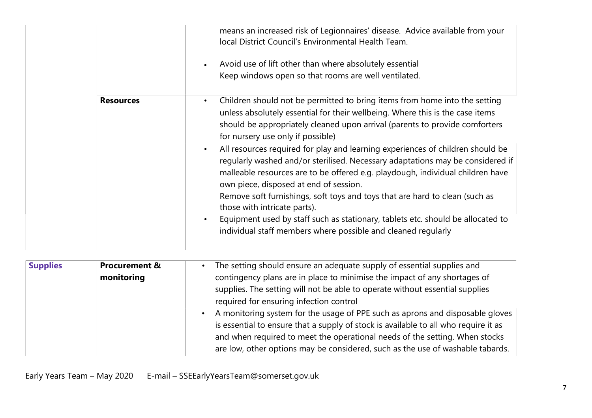|                  | means an increased risk of Legionnaires' disease. Advice available from your<br>local District Council's Environmental Health Team.<br>Avoid use of lift other than where absolutely essential<br>$\bullet$<br>Keep windows open so that rooms are well ventilated.                                                                                                                                                                                                                                                                                                                                                                                                                                                                                                                                                                                                                       |
|------------------|-------------------------------------------------------------------------------------------------------------------------------------------------------------------------------------------------------------------------------------------------------------------------------------------------------------------------------------------------------------------------------------------------------------------------------------------------------------------------------------------------------------------------------------------------------------------------------------------------------------------------------------------------------------------------------------------------------------------------------------------------------------------------------------------------------------------------------------------------------------------------------------------|
| <b>Resources</b> | Children should not be permitted to bring items from home into the setting<br>$\bullet$<br>unless absolutely essential for their wellbeing. Where this is the case items<br>should be appropriately cleaned upon arrival (parents to provide comforters<br>for nursery use only if possible)<br>All resources required for play and learning experiences of children should be<br>$\bullet$<br>regularly washed and/or sterilised. Necessary adaptations may be considered if<br>malleable resources are to be offered e.g. playdough, individual children have<br>own piece, disposed at end of session.<br>Remove soft furnishings, soft toys and toys that are hard to clean (such as<br>those with intricate parts).<br>Equipment used by staff such as stationary, tablets etc. should be allocated to<br>$\bullet$<br>individual staff members where possible and cleaned regularly |

| <b>Supplies</b><br><b>Procurement &amp;</b><br>monitoring | The setting should ensure an adequate supply of essential supplies and<br>contingency plans are in place to minimise the impact of any shortages of<br>supplies. The setting will not be able to operate without essential supplies<br>required for ensuring infection control<br>A monitoring system for the usage of PPE such as aprons and disposable gloves<br>is essential to ensure that a supply of stock is available to all who require it as<br>and when required to meet the operational needs of the setting. When stocks<br>are low, other options may be considered, such as the use of washable tabards. |
|-----------------------------------------------------------|-------------------------------------------------------------------------------------------------------------------------------------------------------------------------------------------------------------------------------------------------------------------------------------------------------------------------------------------------------------------------------------------------------------------------------------------------------------------------------------------------------------------------------------------------------------------------------------------------------------------------|
|-----------------------------------------------------------|-------------------------------------------------------------------------------------------------------------------------------------------------------------------------------------------------------------------------------------------------------------------------------------------------------------------------------------------------------------------------------------------------------------------------------------------------------------------------------------------------------------------------------------------------------------------------------------------------------------------------|